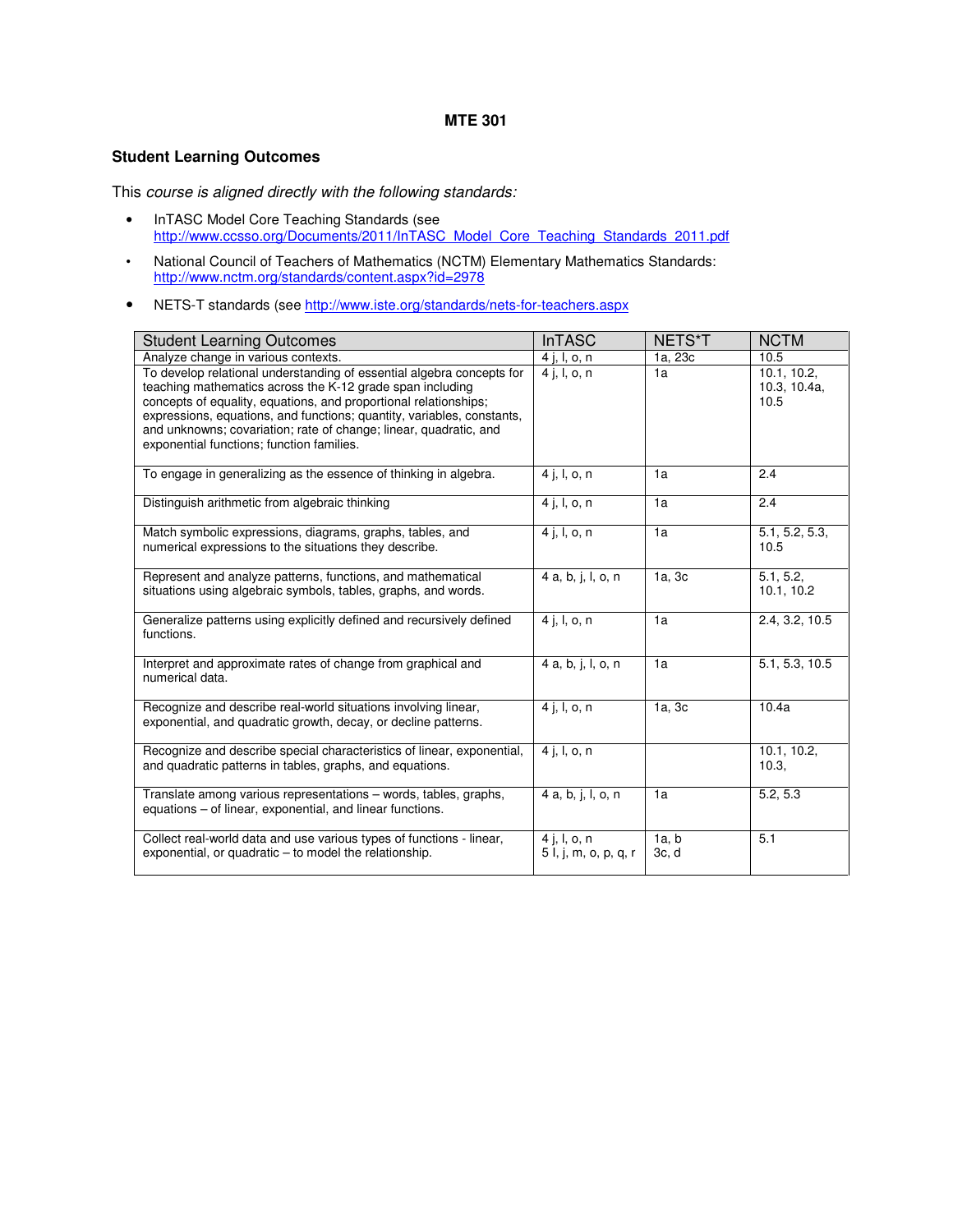### **MTE 301**

## **Student Learning Outcomes**

This course is aligned directly with the following standards:

- InTASC Model Core Teaching Standards (see http://www.ccsso.org/Documents/2011/InTASC\_Model\_Core\_Teaching\_Standards\_2011.pdf
- National Council of Teachers of Mathematics (NCTM) Elementary Mathematics Standards: http://www.nctm.org/standards/content.aspx?id=2978
- NETS-T standards (see http://www.iste.org/standards/nets-for-teachers.aspx

| <b>Student Learning Outcomes</b>                                                                                                                                                                                                                                                                                                                                                                   | <b>InTASC</b>                         | NETS*T         | <b>NCTM</b>                         |
|----------------------------------------------------------------------------------------------------------------------------------------------------------------------------------------------------------------------------------------------------------------------------------------------------------------------------------------------------------------------------------------------------|---------------------------------------|----------------|-------------------------------------|
| Analyze change in various contexts.                                                                                                                                                                                                                                                                                                                                                                | 4 j, l, o, n                          | 1a, 23c        | 10.5                                |
| To develop relational understanding of essential algebra concepts for<br>teaching mathematics across the K-12 grade span including<br>concepts of equality, equations, and proportional relationships;<br>expressions, equations, and functions; quantity, variables, constants,<br>and unknowns; covariation; rate of change; linear, quadratic, and<br>exponential functions; function families. | $4$ j, l, o, n                        | 1a             | 10.1, 10.2,<br>10.3, 10.4a,<br>10.5 |
| To engage in generalizing as the essence of thinking in algebra.                                                                                                                                                                                                                                                                                                                                   | $4$ j, l, o, n                        | 1a             | 2.4                                 |
| Distinguish arithmetic from algebraic thinking                                                                                                                                                                                                                                                                                                                                                     | 4 j, l, o, n                          | 1a             | 2.4                                 |
| Match symbolic expressions, diagrams, graphs, tables, and<br>numerical expressions to the situations they describe.                                                                                                                                                                                                                                                                                | 4 j, l, o, n                          | 1a             | 5.1, 5.2, 5.3,<br>10.5              |
| Represent and analyze patterns, functions, and mathematical<br>situations using algebraic symbols, tables, graphs, and words.                                                                                                                                                                                                                                                                      | 4 a, b, j, l, o, n                    | 1a, 3c         | 5.1, 5.2,<br>10.1, 10.2             |
| Generalize patterns using explicitly defined and recursively defined<br>functions.                                                                                                                                                                                                                                                                                                                 | 4 j, l, o, n                          | 1a             | 2.4, 3.2, 10.5                      |
| Interpret and approximate rates of change from graphical and<br>numerical data.                                                                                                                                                                                                                                                                                                                    | 4 a, b, j, l, o, n                    | 1a             | 5.1, 5.3, 10.5                      |
| Recognize and describe real-world situations involving linear,<br>exponential, and quadratic growth, decay, or decline patterns.                                                                                                                                                                                                                                                                   | $4$ j, l, o, n                        | 1a, 3c         | 10.4a                               |
| Recognize and describe special characteristics of linear, exponential,<br>and quadratic patterns in tables, graphs, and equations.                                                                                                                                                                                                                                                                 | $\overline{4}$ j, l, o, n             |                | 10.1, 10.2,<br>10.3.                |
| Translate among various representations – words, tables, graphs,<br>equations – of linear, exponential, and linear functions.                                                                                                                                                                                                                                                                      | 4 a, b, j, l, o, n                    | 1a             | 5.2, 5.3                            |
| Collect real-world data and use various types of functions - linear,<br>exponential, or quadratic – to model the relationship.                                                                                                                                                                                                                                                                     | 4 j, l, o, n<br>5 l, j, m, o, p, q, r | 1a, b<br>3c, d | 5.1                                 |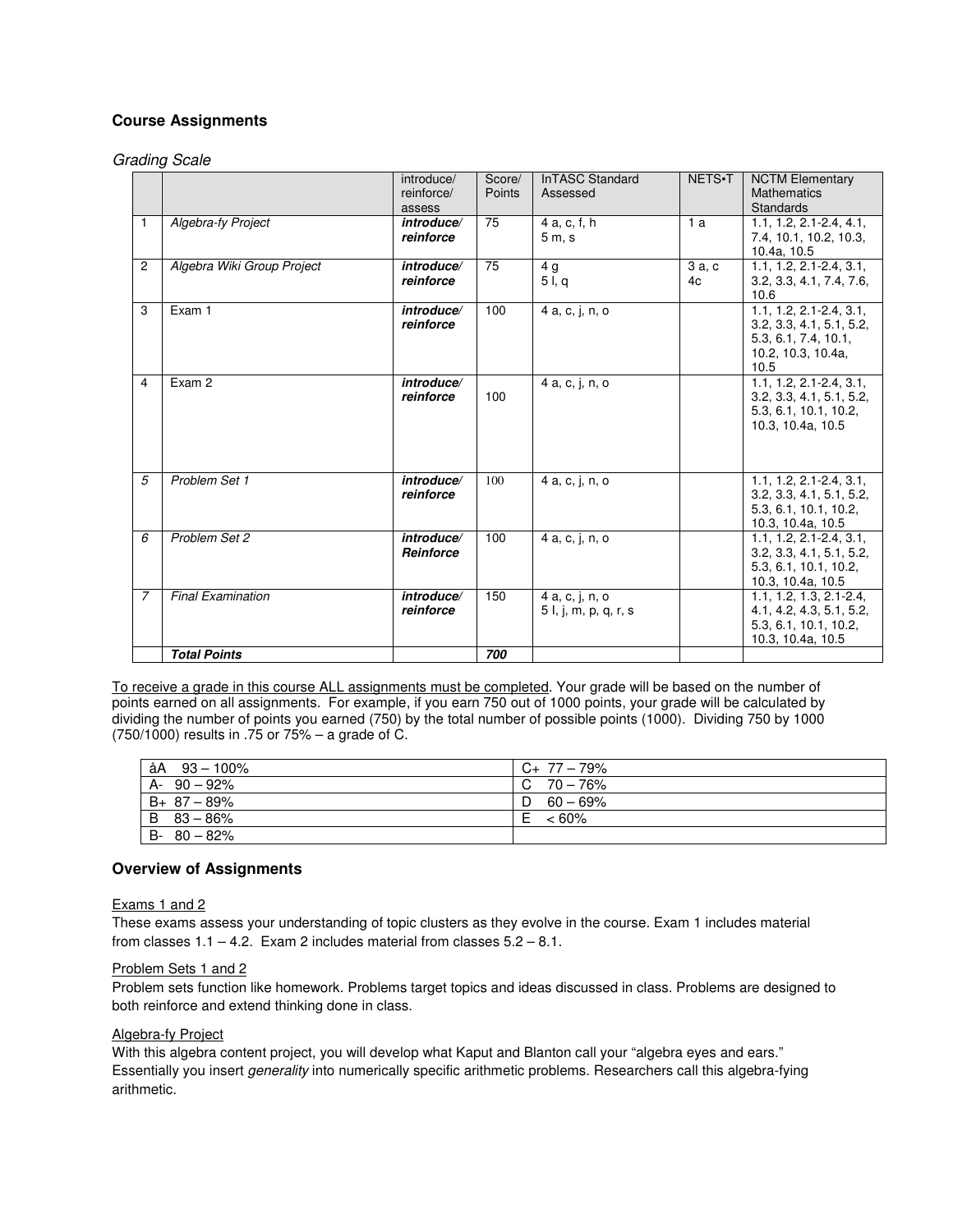# **Course Assignments**

Grading Scale

|                |                            | introduce/<br>reinforce/<br>assess | Score/<br>Points | <b>InTASC Standard</b><br>Assessed       | NETS.T      | <b>NCTM Elementary</b><br><b>Mathematics</b><br>Standards                                                     |
|----------------|----------------------------|------------------------------------|------------------|------------------------------------------|-------------|---------------------------------------------------------------------------------------------------------------|
| $\mathbf{1}$   | <b>Algebra-fy Project</b>  | introduce/<br>reinforce            | 75               | 4 a, c, f, h<br>5m.s                     | 1a          | $1.1, 1.2, 2.1 - 2.4, 4.1,$<br>7.4, 10.1, 10.2, 10.3,<br>10.4a, 10.5                                          |
| $\overline{c}$ | Algebra Wiki Group Project | introduce/<br>reinforce            | 75               | 4 g<br>51, q                             | 3a, c<br>4c | $1.1.1.2.2.1 - 2.4.3.1.$<br>3.2, 3.3, 4.1, 7.4, 7.6,<br>10.6                                                  |
| 3              | Exam 1                     | introduce/<br>reinforce            | 100              | 4 a, c, j, n, o                          |             | $1.1, 1.2, 2.1 - 2.4, 3.1,$<br>3.2, 3.3, 4.1, 5.1, 5.2,<br>5.3, 6.1, 7.4, 10.1,<br>10.2, 10.3, 10.4a,<br>10.5 |
| 4              | Exam 2                     | introduce/<br>reinforce            | 100              | 4 a. c. j. n. o                          |             | $1.1, 1.2, 2.1 - 2.4, 3.1,$<br>3.2, 3.3, 4.1, 5.1, 5.2,<br>5.3, 6.1, 10.1, 10.2,<br>10.3, 10.4a, 10.5         |
| 5              | Problem Set 1              | introduce/<br>reinforce            | 100              | 4 a, c, j, n, o                          |             | $1.1, 1.2, 2.1 - 2.4, 3.1,$<br>3.2, 3.3, 4.1, 5.1, 5.2,<br>5.3, 6.1, 10.1, 10.2,<br>10.3, 10.4a, 10.5         |
| 6              | Problem Set 2              | introduce/<br>Reinforce            | 100              | 4 a, c, j, n, o                          |             | $1.1, 1.2, 2.1 - 2.4, 3.1,$<br>3.2, 3.3, 4.1, 5.1, 5.2,<br>5.3, 6.1, 10.1, 10.2,<br>10.3, 10.4a, 10.5         |
| $\overline{7}$ | <b>Final Examination</b>   | introduce/<br>reinforce            | 150              | 4 a, c, j, n, o<br>5 l, j, m, p, q, r, s |             | $1.1, 1.2, 1.3, 2.1 - 2.4,$<br>4.1, 4.2, 4.3, 5.1, 5.2,<br>5.3, 6.1, 10.1, 10.2,<br>10.3, 10.4a, 10.5         |
|                | <b>Total Points</b>        |                                    | 700              |                                          |             |                                                                                                               |

To receive a grade in this course ALL assignments must be completed. Your grade will be based on the number of points earned on all assignments. For example, if you earn 750 out of 1000 points, your grade will be calculated by dividing the number of points you earned (750) by the total number of possible points (1000). Dividing 750 by 1000 (750/1000) results in .75 or 75% – a grade of C.

| $\hat{a}A$ 93 - 100% | $C_{+}$ 77 - 79%    |
|----------------------|---------------------|
| $A - 90 - 92%$       | $C \t 70 - 76\%$    |
| $B+ 87-89%$          | $D \quad 60 - 69\%$ |
| $B$ 83 - 86%         | $~< 60\%$<br>E      |
| $B - 80 - 82%$       |                     |

## **Overview of Assignments**

Exams 1 and 2

These exams assess your understanding of topic clusters as they evolve in the course. Exam 1 includes material from classes  $1.1 - 4.2$ . Exam 2 includes material from classes  $5.2 - 8.1$ .

#### Problem Sets 1 and 2

Problem sets function like homework. Problems target topics and ideas discussed in class. Problems are designed to both reinforce and extend thinking done in class.

### Algebra-fy Project

With this algebra content project, you will develop what Kaput and Blanton call your "algebra eyes and ears." Essentially you insert generality into numerically specific arithmetic problems. Researchers call this algebra-fying arithmetic.